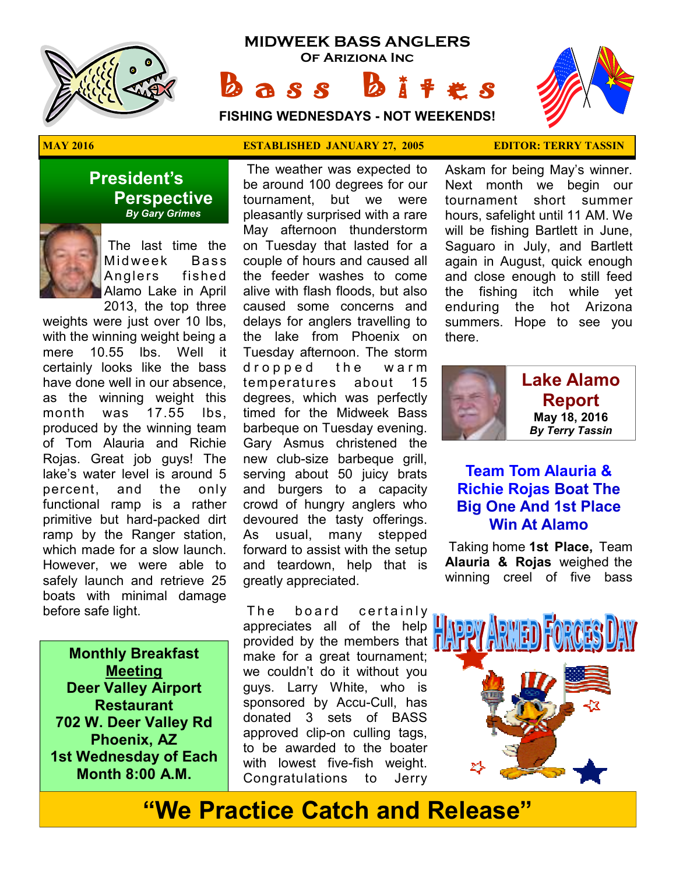

# **MIDWEEK BASS ANGLERS Of Ariziona Inc**

**FISHING WEDNESDAYS - NOT WEEKENDS!**



**President's Perspective**   *By Gary Grimes*

> The last time the Midweek Bass Anglers fished Alamo Lake in April 2013, the top three

weights were just over 10 lbs, with the winning weight being a mere 10.55 lbs. Well it certainly looks like the bass have done well in our absence, as the winning weight this month was 17.55 lbs, produced by the winning team of Tom Alauria and Richie Rojas. Great job guys! The lake's water level is around 5 percent, and the only functional ramp is a rather primitive but hard-packed dirt ramp by the Ranger station, which made for a slow launch. However, we were able to safely launch and retrieve 25 boats with minimal damage before safe light.

**Monthly Breakfast Meeting Deer Valley Airport Restaurant 702 W. Deer Valley Rd Phoenix, AZ 1st Wednesday of Each Month 8:00 A.M.** 

#### **MAY 2016 ESTABLISHED JANUARY 27, 2005 EDITOR: TERRY TASSIN**

 $a s s$ 

 The weather was expected to be around 100 degrees for our tournament, but we were pleasantly surprised with a rare May afternoon thunderstorm on Tuesday that lasted for a couple of hours and caused all the feeder washes to come alive with flash floods, but also caused some concerns and delays for anglers travelling to the lake from Phoenix on Tuesday afternoon. The storm dropped the warm temperatures about 15 degrees, which was perfectly timed for the Midweek Bass barbeque on Tuesday evening. Gary Asmus christened the new club-size barbeque grill, serving about 50 juicy brats and burgers to a capacity crowd of hungry anglers who devoured the tasty offerings. As usual, many stepped forward to assist with the setup and teardown, help that is greatly appreciated.

The board certainly appreciates all of the help provided by the members that  $\blacksquare$ make for a great tournament; we couldn't do it without you guys. Larry White, who is sponsored by Accu-Cull, has donated 3 sets of BASS approved clip-on culling tags, to be awarded to the boater with lowest five-fish weight. Congratulations to Jerry

Askam for being May's winner. Next month we begin our tournament short summer hours, safelight until 11 AM. We will be fishing Bartlett in June, Saguaro in July, and Bartlett again in August, quick enough and close enough to still feed the fishing itch while yet enduring the hot Arizona summers. Hope to see you there.



## **Team Tom Alauria & Richie Rojas Boat The Big One And 1st Place Win At Alamo**

 Taking home **1st Place,** Team **Alauria & Rojas** weighed the winning creel of five bass



# **"We Practice Catch and Release"**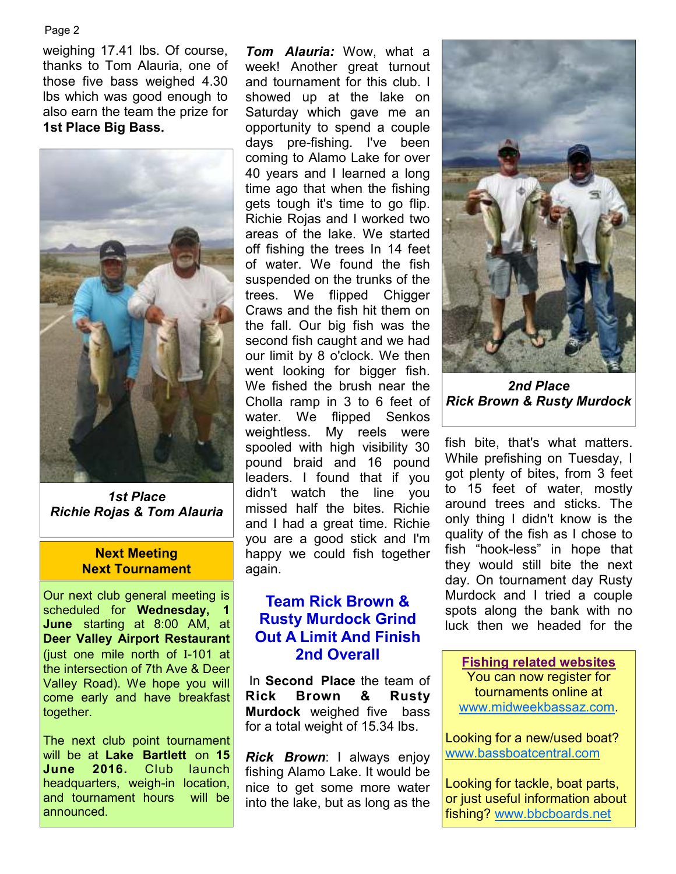#### Page 2

weighing 17.41 lbs. Of course, thanks to Tom Alauria, one of those five bass weighed 4.30 lbs which was good enough to also earn the team the prize for **1st Place Big Bass.** 



*1st Place Richie Rojas & Tom Alauria* 

#### **Next Meeting Next Tournament**

Our next club general meeting is scheduled for **Wednesday, 1 June** starting at 8:00 AM, at **Deer Valley Airport Restaurant**  (just one mile north of I-101 at the intersection of 7th Ave & Deer Valley Road). We hope you will come early and have breakfast together.

The next club point tournament will be at **Lake Bartlett** on **15 June 2016.** Club launch headquarters, weigh-in location, and tournament hours will be announced.

*Tom Alauria:* Wow, what a week! Another great turnout and tournament for this club. I showed up at the lake on Saturday which gave me an opportunity to spend a couple days pre-fishing. I've been coming to Alamo Lake for over 40 years and I learned a long time ago that when the fishing gets tough it's time to go flip. Richie Rojas and I worked two areas of the lake. We started off fishing the trees In 14 feet of water. We found the fish suspended on the trunks of the trees. We flipped Chigger Craws and the fish hit them on the fall. Our big fish was the second fish caught and we had our limit by 8 o'clock. We then went looking for bigger fish. We fished the brush near the Cholla ramp in 3 to 6 feet of water. We flipped Senkos weightless. My reels were spooled with high visibility 30 pound braid and 16 pound leaders. I found that if you didn't watch the line you missed half the bites. Richie and I had a great time. Richie you are a good stick and I'm happy we could fish together again.

### **Team Rick Brown & Rusty Murdock Grind Out A Limit And Finish 2nd Overall**

 In **Second Place** the team of **Rick Brown & Rusty Murdock** weighed five bass for a total weight of 15.34 lbs.

*Rick Brown*: I always enjoy fishing Alamo Lake. It would be nice to get some more water into the lake, but as long as the



*2nd Place Rick Brown & Rusty Murdock* 

fish bite, that's what matters. While prefishing on Tuesday, I got plenty of bites, from 3 feet to 15 feet of water, mostly around trees and sticks. The only thing I didn't know is the quality of the fish as I chose to fish "hook-less" in hope that they would still bite the next day. On tournament day Rusty Murdock and I tried a couple spots along the bank with no luck then we headed for the

**Fishing related websites** You can now register for tournaments online at www.midweekbassaz.com.

Looking for a new/used boat? www.bassboatcentral.com

Looking for tackle, boat parts, or just useful information about fishing? www.bbcboards.net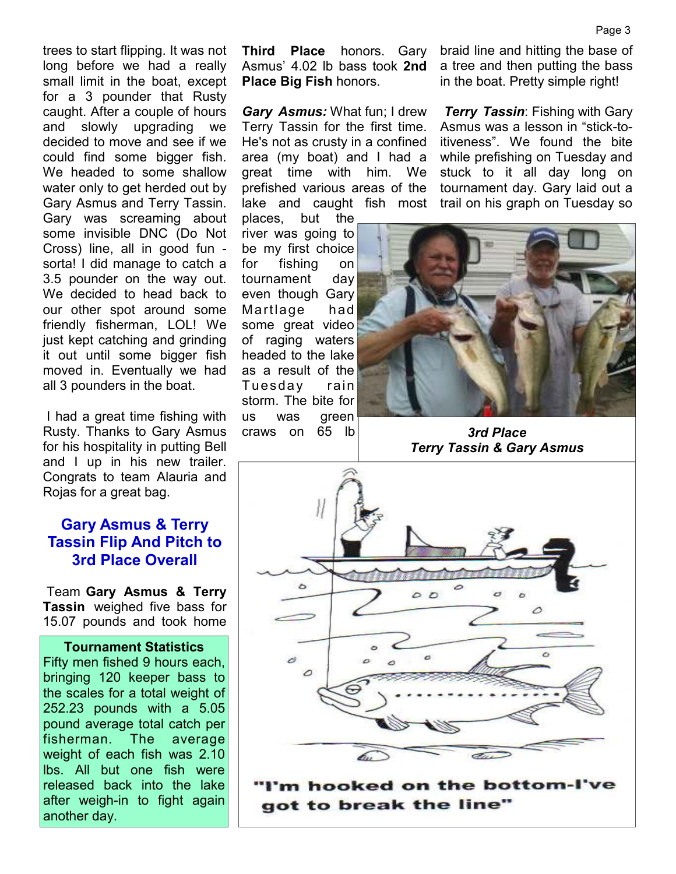trees to start flipping. It was not long before we had a really small limit in the boat, except for a 3 pounder that Rusty caught. After a couple of hours and slowly upgrading we decided to move and see if we could find some bigger fish. We headed to some shallow water only to get herded out by Gary Asmus and Terry Tassin. Gary was screaming about some invisible DNC (Do Not Cross) line, all in good fun sorta! I did manage to catch a 3.5 pounder on the way out. We decided to head back to our other spot around some friendly fisherman, LOL! We just kept catching and grinding it out until some bigger fish moved in. Eventually we had all 3 pounders in the boat.

 I had a great time fishing with Rusty. Thanks to Gary Asmus for his hospitality in putting Bell and I up in his new trailer. Congrats to team Alauria and Rojas for a great bag.

### **Gary Asmus & Terry Tassin Flip And Pitch to 3rd Place Overall**

 Team **Gary Asmus & Terry Tassin** weighed five bass for 15.07 pounds and took home

**Tournament Statistics** Fifty men fished 9 hours each, bringing 120 keeper bass to the scales for a total weight of 252.23 pounds with a 5.05 pound average total catch per fisherman. The average weight of each fish was 2.10 lbs. All but one fish were released back into the lake after weigh-in to fight again another day.

**Third Place** honors. Gary Asmus' 4.02 lb bass took **2nd Place Big Fish** honors.

*Gary Asmus:* What fun; I drew Terry Tassin for the first time. He's not as crusty in a confined area (my boat) and I had a great time with him. We prefished various areas of the lake and caught fish most

places, but the river was going to be my first choice for fishing on tournament day even though Gary Martlage had some great video of raging waters headed to the lake as a result of the Tuesday rain storm. The bite for us was green craws on 65 lb

braid line and hitting the base of a tree and then putting the bass in the boat. Pretty simple right!

*Terry Tassin*: Fishing with Gary Asmus was a lesson in "stick-toitiveness". We found the bite while prefishing on Tuesday and stuck to it all day long on tournament day. Gary laid out a trail on his graph on Tuesday so



*3rd Place Terry Tassin & Gary Asmus* 



m hooked on the bottom-l got to break the line"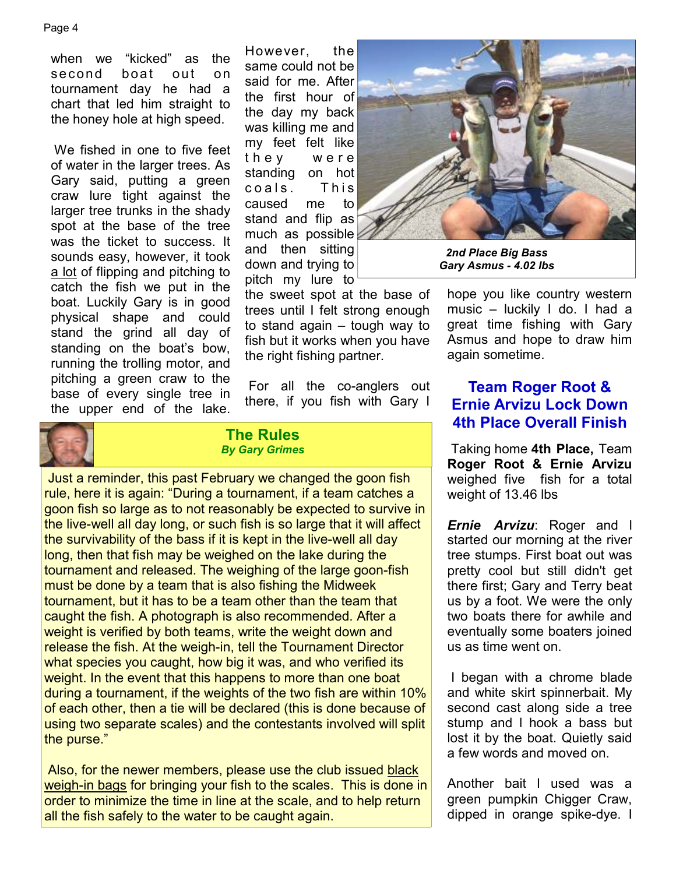when we "kicked" as the second boat out on tournament day he had a chart that led him straight to the honey hole at high speed.

 We fished in one to five feet of water in the larger trees. As Gary said, putting a green craw lure tight against the larger tree trunks in the shady spot at the base of the tree was the ticket to success. It sounds easy, however, it took a lot of flipping and pitching to catch the fish we put in the boat. Luckily Gary is in good physical shape and could stand the grind all day of standing on the boat's bow, running the trolling motor, and pitching a green craw to the base of every single tree in the upper end of the lake.

However, the same could not be said for me. After the first hour of the day my back was killing me and my feet felt like they were standing on hot coals. This caused me to stand and flip as much as possible and then sitting down and trying to pitch my lure to

the sweet spot at the base of trees until I felt strong enough to stand again – tough way to fish but it works when you have the right fishing partner.

 For all the co-anglers out there, if you fish with Gary I



#### **The Rules**  *By Gary Grimes*

 Just a reminder, this past February we changed the goon fish rule, here it is again: "During a tournament, if a team catches a goon fish so large as to not reasonably be expected to survive in the live-well all day long, or such fish is so large that it will affect the survivability of the bass if it is kept in the live-well all day long, then that fish may be weighed on the lake during the tournament and released. The weighing of the large goon-fish must be done by a team that is also fishing the Midweek tournament, but it has to be a team other than the team that caught the fish. A photograph is also recommended. After a weight is verified by both teams, write the weight down and release the fish. At the weigh-in, tell the Tournament Director what species you caught, how big it was, and who verified its weight. In the event that this happens to more than one boat during a tournament, if the weights of the two fish are within 10% of each other, then a tie will be declared (this is done because of using two separate scales) and the contestants involved will split the purse."

Also, for the newer members, please use the club issued black weigh-in bags for bringing your fish to the scales. This is done in order to minimize the time in line at the scale, and to help return all the fish safely to the water to be caught again.



*2nd Place Big Bass Gary Asmus - 4.02 lbs*

hope you like country western music – luckily I do. I had a great time fishing with Gary Asmus and hope to draw him again sometime.

# **Team Roger Root & Ernie Arvizu Lock Down 4th Place Overall Finish**

 Taking home **4th Place,** Team **Roger Root & Ernie Arvizu**  weighed five fish for a total weight of 13.46 lbs

*Ernie Arvizu*: Roger and l started our morning at the river tree stumps. First boat out was pretty cool but still didn't get there first; Gary and Terry beat us by a foot. We were the only two boats there for awhile and eventually some boaters joined us as time went on.

 I began with a chrome blade and white skirt spinnerbait. My second cast along side a tree stump and l hook a bass but lost it by the boat. Quietly said a few words and moved on.

Another bait l used was a green pumpkin Chigger Craw, dipped in orange spike-dye. I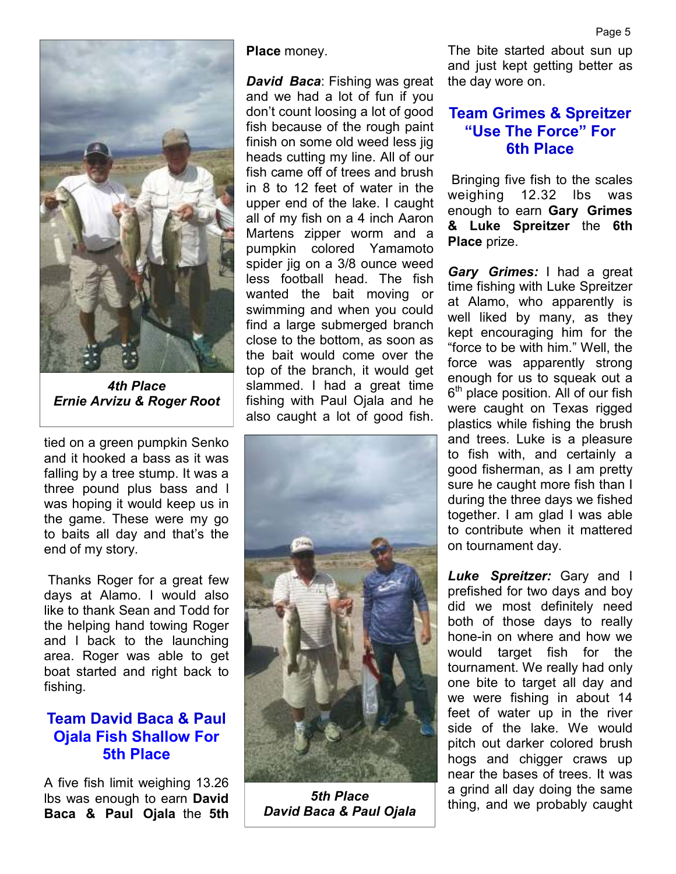

*4th Place Ernie Arvizu & Roger Root* 

tied on a green pumpkin Senko and it hooked a bass as it was falling by a tree stump. It was a three pound plus bass and l was hoping it would keep us in the game. These were my go to baits all day and that's the end of my story.

 Thanks Roger for a great few days at Alamo. I would also like to thank Sean and Todd for the helping hand towing Roger and l back to the launching area. Roger was able to get boat started and right back to fishing.

## **Team David Baca & Paul Ojala Fish Shallow For 5th Place**

A five fish limit weighing 13.26 lbs was enough to earn **David Baca & Paul Ojala** the **5th**  **Place** money.

*David Baca*: Fishing was great and we had a lot of fun if you don't count loosing a lot of good fish because of the rough paint finish on some old weed less jig heads cutting my line. All of our fish came off of trees and brush in 8 to 12 feet of water in the upper end of the lake. I caught all of my fish on a 4 inch Aaron Martens zipper worm and a pumpkin colored Yamamoto spider jig on a 3/8 ounce weed less football head. The fish wanted the bait moving or swimming and when you could find a large submerged branch close to the bottom, as soon as the bait would come over the top of the branch, it would get slammed. I had a great time fishing with Paul Ojala and he also caught a lot of good fish.



*5th Place David Baca & Paul Ojala* 

The bite started about sun up and just kept getting better as the day wore on.

## **Team Grimes & Spreitzer "Use The Force" For 6th Place**

 Bringing five fish to the scales weighing 12.32 lbs was enough to earn **Gary Grimes & Luke Spreitzer** the **6th Place** prize.

*Gary Grimes:* I had a great time fishing with Luke Spreitzer at Alamo, who apparently is well liked by many, as they kept encouraging him for the "force to be with him." Well, the force was apparently strong enough for us to squeak out a 6<sup>th</sup> place position. All of our fish were caught on Texas rigged plastics while fishing the brush and trees. Luke is a pleasure to fish with, and certainly a good fisherman, as I am pretty sure he caught more fish than I during the three days we fished together. I am glad I was able to contribute when it mattered on tournament day.

*Luke Spreitzer:* Gary and I prefished for two days and boy did we most definitely need both of those days to really hone-in on where and how we would target fish for the tournament. We really had only one bite to target all day and we were fishing in about 14 feet of water up in the river side of the lake. We would pitch out darker colored brush hogs and chigger craws up near the bases of trees. It was a grind all day doing the same thing, and we probably caught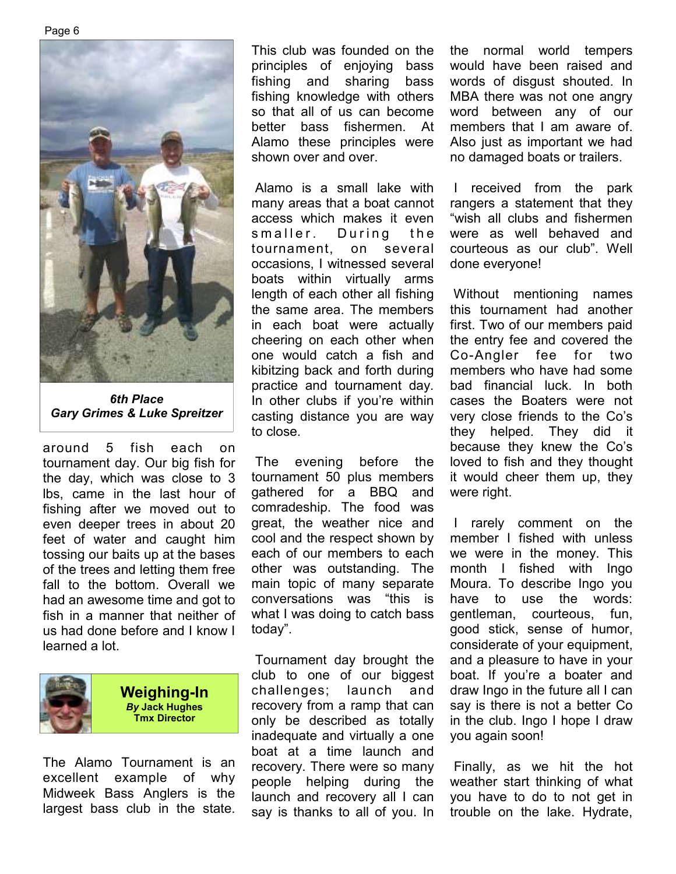

*6th Place Gary Grimes & Luke Spreitzer* 

around 5 fish each on tournament day. Our big fish for the day, which was close to 3 lbs, came in the last hour of fishing after we moved out to even deeper trees in about 20 feet of water and caught him tossing our baits up at the bases of the trees and letting them free fall to the bottom. Overall we had an awesome time and got to fish in a manner that neither of us had done before and I know I learned a lot.



**Weighing-In**  *By* **Jack Hughes Tmx Director**

The Alamo Tournament is an excellent example of why Midweek Bass Anglers is the largest bass club in the state.

This club was founded on the principles of enjoying bass fishing and sharing bass fishing knowledge with others so that all of us can become better bass fishermen. At Alamo these principles were shown over and over.

 Alamo is a small lake with many areas that a boat cannot access which makes it even smaller. During the tournament, on several occasions, I witnessed several boats within virtually arms length of each other all fishing the same area. The members in each boat were actually cheering on each other when one would catch a fish and kibitzing back and forth during practice and tournament day. In other clubs if you're within casting distance you are way to close.

 The evening before the tournament 50 plus members gathered for a BBQ and comradeship. The food was great, the weather nice and cool and the respect shown by each of our members to each other was outstanding. The main topic of many separate conversations was "this is what I was doing to catch bass today".

 Tournament day brought the club to one of our biggest challenges; launch and recovery from a ramp that can only be described as totally inadequate and virtually a one boat at a time launch and recovery. There were so many people helping during the launch and recovery all I can say is thanks to all of you. In

the normal world tempers would have been raised and words of disgust shouted. In MBA there was not one angry word between any of our members that I am aware of. Also just as important we had no damaged boats or trailers.

 I received from the park rangers a statement that they "wish all clubs and fishermen were as well behaved and courteous as our club". Well done everyone!

 Without mentioning names this tournament had another first. Two of our members paid the entry fee and covered the Co-Angler fee for two members who have had some bad financial luck. In both cases the Boaters were not very close friends to the Co's they helped. They did it because they knew the Co's loved to fish and they thought it would cheer them up, they were right.

 I rarely comment on the member I fished with unless we were in the money. This month I fished with Ingo Moura. To describe Ingo you have to use the words: gentleman, courteous, fun, good stick, sense of humor, considerate of your equipment, and a pleasure to have in your boat. If you're a boater and draw Ingo in the future all I can say is there is not a better Co in the club. Ingo I hope I draw you again soon!

 Finally, as we hit the hot weather start thinking of what you have to do to not get in trouble on the lake. Hydrate,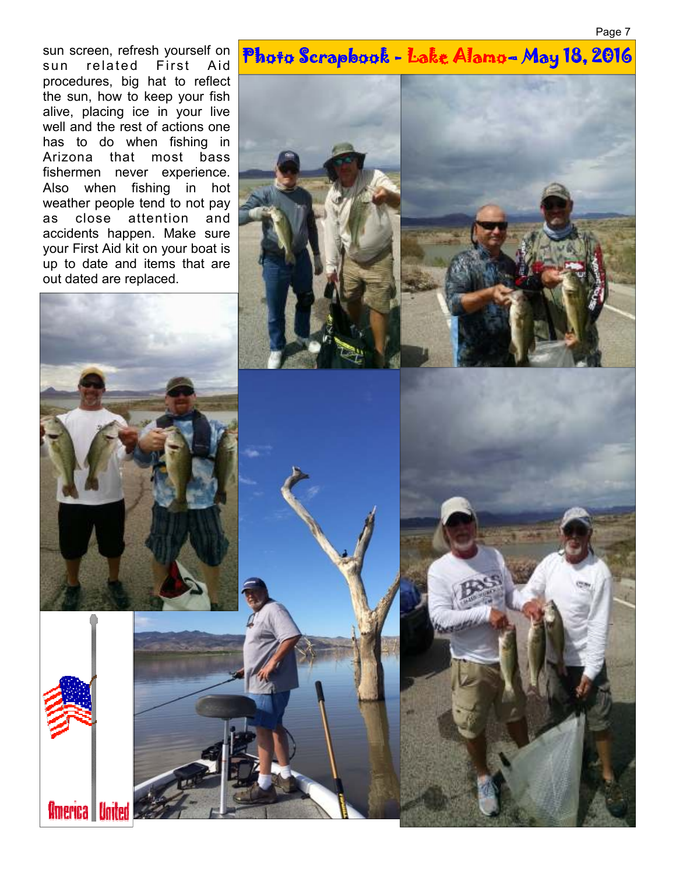Page 7

sun screen, refresh yourself on sun related First Aid procedures, big hat to reflect the sun, how to keep your fish alive, placing ice in your live well and the rest of actions one has to do when fishing in Arizona that most bass fishermen never experience. Also when fishing in hot weather people tend to not pay as close attention and accidents happen. Make sure your First Aid kit on your boat is up to date and items that are out dated are replaced.

# Photo Scrapbook - Lake Alamo-May 18, 2016



America